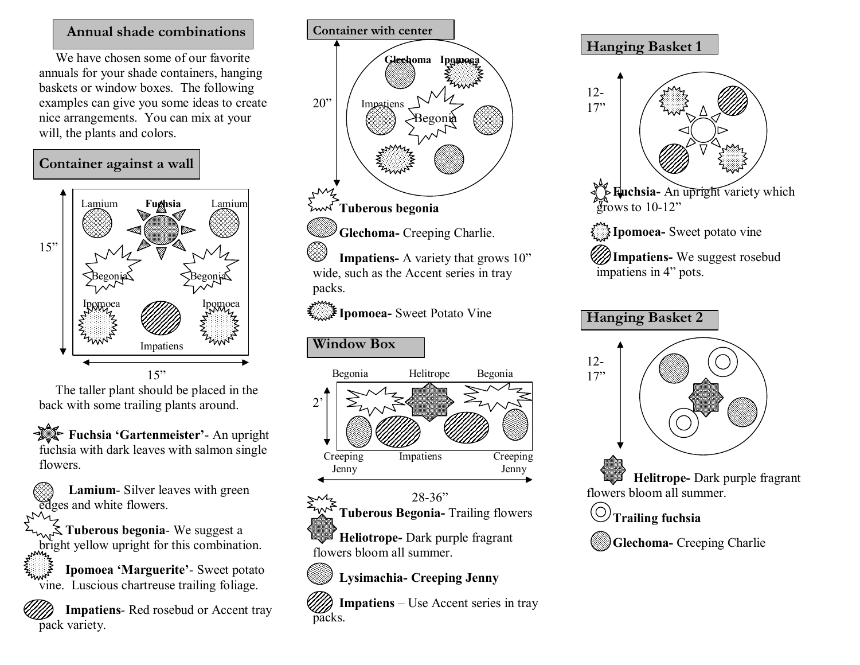## **Annual shade combinations**

We have chosen some of our favorite annuals for your shade containers, hanging baskets or window boxes. The following examples can give you some ideas to create nice arrangements. You can mix at your will, the plants and colors.





The taller plant should be placed in the back with some trailing plants around.

**Fuchsia 'Gartenmeister'** An upright fuchsia with dark leaves with salmon single flowers.

**Lamium**- Silver leaves with green edges and white flowers.

**Tuberous begonia-** We suggest a bright yellow upright for this combination.

**Ipomoea 'Marguerite'** - Sweet potato vine. Luscious chartreuse trailing foliage.

**Impatiens-Red rosebud or Accent tray** pack variety.